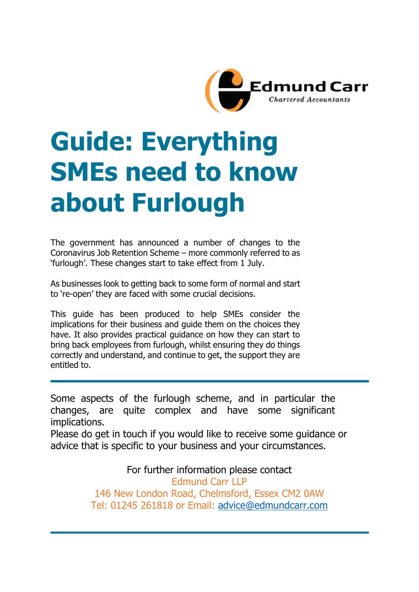

# **Guide: Everything SMEs need to know about Furlough**

The government has announced a number of changes to the Coronavirus Job Retention Scheme – more commonly referred to as 'furlough'. These changes start to take effect from 1 July.

As businesses look to getting back to some form of normal and start to 're-open' they are faced with some crucial decisions.

This guide has been produced to help SMEs consider the implications for their business and guide them on the choices they have. It also provides practical guidance on how they can start to bring back employees from furlough, whilst ensuring they do things correctly and understand, and continue to get, the support they are entitled to.

Some aspects of the furlough scheme, and in particular the changes, are quite complex and have some significant implications.

Please do get in touch if you would like to receive some guidance or advice that is specific to your business and your circumstances.

For further information please contact

Edmund Carr LLP 146 New London Road, Chelmsford, Essex CM2 0AW Tel: 01245 261818 or Email: [advice@edmundcarr.com](mailto:advice@edmundcarr.com)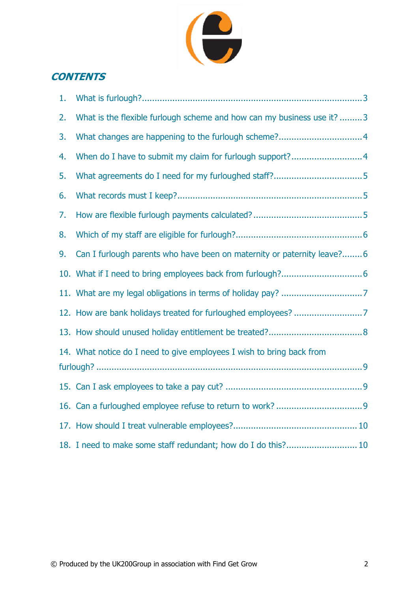

## **CONTENTS**

| 1. |                                                                         |
|----|-------------------------------------------------------------------------|
| 2. | What is the flexible furlough scheme and how can my business use it?  3 |
| 3. |                                                                         |
| 4. |                                                                         |
| 5. |                                                                         |
| 6. |                                                                         |
| 7. |                                                                         |
| 8. |                                                                         |
| 9. | Can I furlough parents who have been on maternity or paternity leave?6  |
|    |                                                                         |
|    |                                                                         |
|    |                                                                         |
|    |                                                                         |
|    | 14. What notice do I need to give employees I wish to bring back from   |
|    |                                                                         |
|    |                                                                         |
|    |                                                                         |
|    |                                                                         |
|    | 18. I need to make some staff redundant; how do I do this? 10           |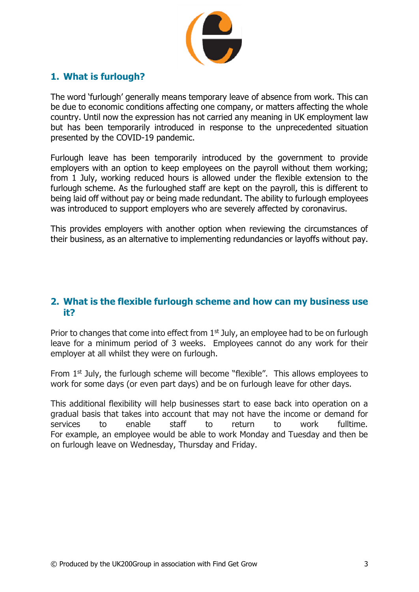

#### <span id="page-2-0"></span>**1. What is furlough?**

The word 'furlough' generally means temporary leave of absence from work. This can be due to economic conditions affecting one company, or matters affecting the whole country. Until now the expression has not carried any meaning in UK employment law but has been temporarily introduced in response to the unprecedented situation presented by the COVID-19 pandemic.

Furlough leave has been temporarily introduced by the government to provide employers with an option to keep employees on the payroll without them working; from 1 July, working reduced hours is allowed under the flexible extension to the furlough scheme. As the furloughed staff are kept on the payroll, this is different to being laid off without pay or being made redundant. The ability to furlough employees was introduced to support employers who are severely affected by coronavirus.

This provides employers with another option when reviewing the circumstances of their business, as an alternative to implementing redundancies or layoffs without pay.

#### <span id="page-2-1"></span>**2. What is the flexible furlough scheme and how can my business use it?**

Prior to changes that come into effect from  $1<sup>st</sup>$  July, an employee had to be on furlough leave for a minimum period of 3 weeks. Employees cannot do any work for their employer at all whilst they were on furlough.

From  $1<sup>st</sup>$  July, the furlough scheme will become "flexible". This allows employees to work for some days (or even part days) and be on furlough leave for other days.

This additional flexibility will help businesses start to ease back into operation on a gradual basis that takes into account that may not have the income or demand for services to enable staff to return to work fulltime. For example, an employee would be able to work Monday and Tuesday and then be on furlough leave on Wednesday, Thursday and Friday.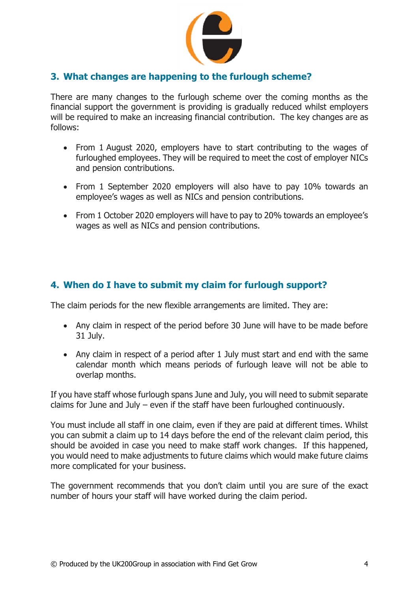

### <span id="page-3-0"></span>**3. What changes are happening to the furlough scheme?**

There are many changes to the furlough scheme over the coming months as the financial support the government is providing is gradually reduced whilst employers will be required to make an increasing financial contribution. The key changes are as follows:

- From 1 August 2020, employers have to start contributing to the wages of furloughed employees. They will be required to meet the cost of employer NICs and pension contributions.
- From 1 September 2020 employers will also have to pay 10% towards an employee's wages as well as NICs and pension contributions.
- From 1 October 2020 employers will have to pay to 20% towards an employee's wages as well as NICs and pension contributions.

#### <span id="page-3-1"></span>**4. When do I have to submit my claim for furlough support?**

The claim periods for the new flexible arrangements are limited. They are:

- Any claim in respect of the period before 30 June will have to be made before 31 July.
- Any claim in respect of a period after 1 July must start and end with the same calendar month which means periods of furlough leave will not be able to overlap months.

If you have staff whose furlough spans June and July, you will need to submit separate claims for June and July – even if the staff have been furloughed continuously.

You must include all staff in one claim, even if they are paid at different times. Whilst you can submit a claim up to 14 days before the end of the relevant claim period, this should be avoided in case you need to make staff work changes. If this happened, you would need to make adjustments to future claims which would make future claims more complicated for your business.

The government recommends that you don't claim until you are sure of the exact number of hours your staff will have worked during the claim period.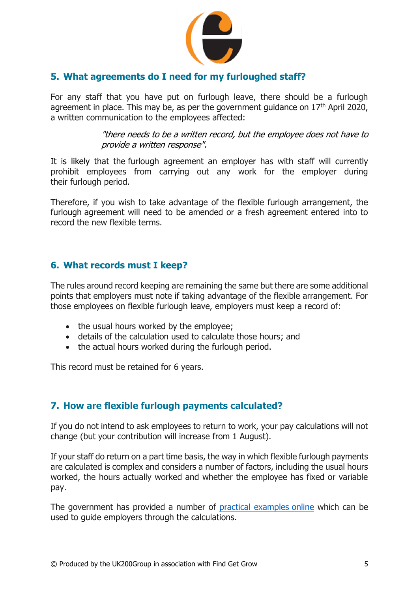

### <span id="page-4-0"></span>**5. What agreements do I need for my furloughed staff?**

For any staff that you have put on furlough leave, there should be a furlough agreement in place. This may be, as per the government guidance on  $17<sup>th</sup>$  April 2020, a written communication to the employees affected:

> "there needs to be a written record, but the employee does not have to provide a written response".

It is likely that the furlough agreement an employer has with staff will currently prohibit employees from carrying out any work for the employer during their furlough period.

Therefore, if you wish to take advantage of the flexible furlough arrangement, the furlough agreement will need to be amended or a fresh agreement entered into to record the new flexible terms.

#### <span id="page-4-1"></span>**6. What records must I keep?**

The rules around record keeping are remaining the same but there are some additional points that employers must note if taking advantage of the flexible arrangement. For those employees on flexible furlough leave, employers must keep a record of:

- the usual hours worked by the employee;
- details of the calculation used to calculate those hours; and
- the actual hours worked during the furlough period.

This record must be retained for 6 years.

#### <span id="page-4-2"></span>**7. How are flexible furlough payments calculated?**

If you do not intend to ask employees to return to work, your pay calculations will not change (but your contribution will increase from 1 August).

If your staff do return on a part time basis, the way in which flexible furlough payments are calculated is complex and considers a number of factors, including the usual hours worked, the hours actually worked and whether the employee has fixed or variable pay.

The government has provided a number of [practical examples](https://www.gov.uk/government/publications/find-examples-to-help-you-work-out-80-of-your-employees-wages/example-of-a-full-calculation-for-an-employee-who-is-flexibly-furloughed?utm_medium=email&_hsmi=89538710&_hsenc=p2ANqtz--gomE96R_hYBedE4UxPftHp1--uQeXN01xfYOsFkVTz4x6Po8Ud8LzUVd8gWAxQt1D7ejCx1aF-1CeIS_IzYxfOCLnMQ&utm_content=89538710&utm_source=hs_email) online which can be used to guide employers through the calculations.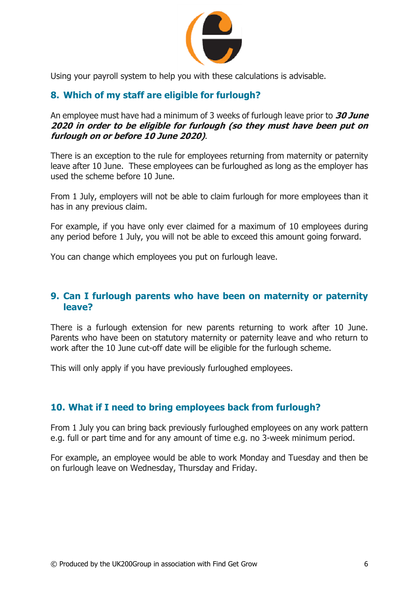

Using your payroll system to help you with these calculations is advisable.

## <span id="page-5-0"></span>**8. Which of my staff are eligible for furlough?**

An employee must have had a minimum of 3 weeks of furlough leave prior to **30 June 2020 in order to be eligible for furlough (so they must have been put on furlough on or before 10 June 2020)**.

There is an exception to the rule for employees returning from maternity or paternity leave after 10 June. These employees can be furloughed as long as the employer has used the scheme before 10 June.

From 1 July, employers will not be able to claim furlough for more employees than it has in any previous claim.

For example, if you have only ever claimed for a maximum of 10 employees during any period before 1 July, you will not be able to exceed this amount going forward.

You can change which employees you put on furlough leave.

#### <span id="page-5-1"></span>**9. Can I furlough parents who have been on maternity or paternity leave?**

There is a furlough extension for new parents returning to work after 10 June. Parents who have been on statutory maternity or paternity leave and who return to work after the 10 June cut-off date will be eligible for the furlough scheme.

This will only apply if you have previously furloughed employees.

#### <span id="page-5-2"></span>**10. What if I need to bring employees back from furlough?**

From 1 July you can bring back previously furloughed employees on any work pattern e.g. full or part time and for any amount of time e.g. no 3-week minimum period.

For example, an employee would be able to work Monday and Tuesday and then be on furlough leave on Wednesday, Thursday and Friday.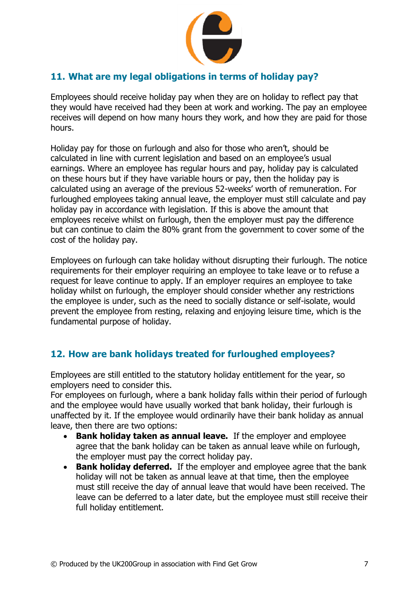

## <span id="page-6-0"></span>**11. What are my legal obligations in terms of holiday pay?**

Employees should receive holiday pay when they are on holiday to reflect pay that they would have received had they been at work and working. The pay an employee receives will depend on how many hours they work, and how they are paid for those hours.

Holiday pay for those on furlough and also for those who aren't, should be calculated in line with current legislation and based on an employee's usual earnings. Where an employee has regular hours and pay, holiday pay is calculated on these hours but if they have variable hours or pay, then the holiday pay is calculated using an average of the previous 52-weeks' worth of remuneration. For furloughed employees taking annual leave, the employer must still calculate and pay holiday pay in accordance with legislation. If this is above the amount that employees receive whilst on furlough, then the employer must pay the difference but can continue to claim the 80% grant from the government to cover some of the cost of the holiday pay.

Employees on furlough can take holiday without disrupting their furlough. The notice requirements for their employer requiring an employee to take leave or to refuse a request for leave continue to apply. If an employer requires an employee to take holiday whilst on furlough, the employer should consider whether any restrictions the employee is under, such as the need to socially distance or self-isolate, would prevent the employee from resting, relaxing and enjoying leisure time, which is the fundamental purpose of holiday.

#### <span id="page-6-1"></span>**12. How are bank holidays treated for furloughed employees?**

Employees are still entitled to the statutory holiday entitlement for the year, so employers need to consider this.

For employees on furlough, where a bank holiday falls within their period of furlough and the employee would have usually worked that bank holiday, their furlough is unaffected by it. If the employee would ordinarily have their bank holiday as annual leave, then there are two options:

- **Bank holiday taken as annual leave.** If the employer and employee agree that the bank holiday can be taken as annual leave while on furlough, the employer must pay the correct holiday pay.
- **Bank holiday deferred.** If the employer and employee agree that the bank holiday will not be taken as annual leave at that time, then the employee must still receive the day of annual leave that would have been received. The leave can be deferred to a later date, but the employee must still receive their full holiday entitlement.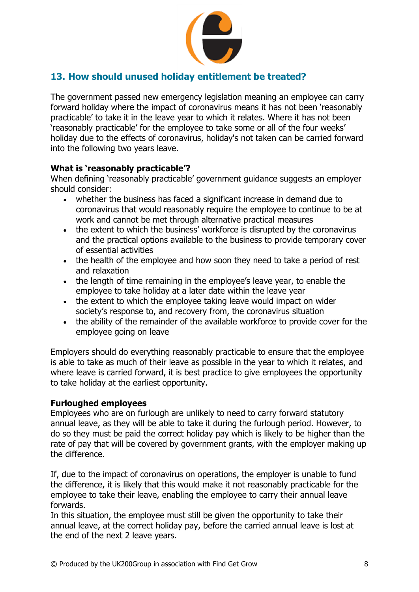

## <span id="page-7-0"></span>**13. How should unused holiday entitlement be treated?**

The government passed new emergency legislation meaning an employee can carry forward holiday where the impact of coronavirus means it has not been 'reasonably practicable' to take it in the leave year to which it relates. Where it has not been 'reasonably practicable' for the employee to take some or all of the four weeks' holiday due to the effects of coronavirus, holiday's not taken can be carried forward into the following two years leave.

#### **What is 'reasonably practicable'?**

When defining 'reasonably practicable' government guidance suggests an employer should consider:

- whether the business has faced a significant increase in demand due to coronavirus that would reasonably require the employee to continue to be at work and cannot be met through alternative practical measures
- the extent to which the business' workforce is disrupted by the coronavirus and the practical options available to the business to provide temporary cover of essential activities
- the health of the employee and how soon they need to take a period of rest and relaxation
- the length of time remaining in the employee's leave year, to enable the employee to take holiday at a later date within the leave year
- the extent to which the employee taking leave would impact on wider society's response to, and recovery from, the coronavirus situation
- the ability of the remainder of the available workforce to provide cover for the employee going on leave

Employers should do everything reasonably practicable to ensure that the employee is able to take as much of their leave as possible in the year to which it relates, and where leave is carried forward, it is best practice to give employees the opportunity to take holiday at the earliest opportunity.

#### **Furloughed employees**

Employees who are on furlough are unlikely to need to carry forward statutory annual leave, as they will be able to take it during the furlough period. However, to do so they must be paid the correct holiday pay which is likely to be higher than the rate of pay that will be covered by government grants, with the employer making up the difference.

If, due to the impact of coronavirus on operations, the employer is unable to fund the difference, it is likely that this would make it not reasonably practicable for the employee to take their leave, enabling the employee to carry their annual leave forwards.

In this situation, the employee must still be given the opportunity to take their annual leave, at the correct holiday pay, before the carried annual leave is lost at the end of the next 2 leave years.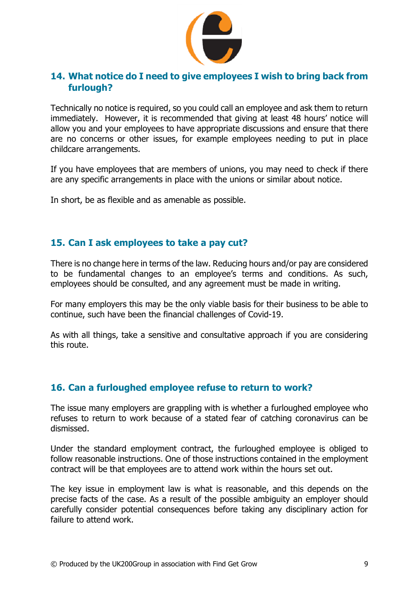

#### <span id="page-8-0"></span>**14. What notice do I need to give employees I wish to bring back from furlough?**

Technically no notice is required, so you could call an employee and ask them to return immediately. However, it is recommended that giving at least 48 hours' notice will allow you and your employees to have appropriate discussions and ensure that there are no concerns or other issues, for example employees needing to put in place childcare arrangements.

If you have employees that are members of unions, you may need to check if there are any specific arrangements in place with the unions or similar about notice.

In short, be as flexible and as amenable as possible.

#### <span id="page-8-1"></span>**15. Can I ask employees to take a pay cut?**

There is no change here in terms of the law. Reducing hours and/or pay are considered to be fundamental changes to an employee's terms and conditions. As such, employees should be consulted, and any agreement must be made in writing.

For many employers this may be the only viable basis for their business to be able to continue, such have been the financial challenges of Covid-19.

As with all things, take a sensitive and consultative approach if you are considering this route.

#### <span id="page-8-2"></span>**16. Can a furloughed employee refuse to return to work?**

The issue many employers are grappling with is whether a furloughed employee who refuses to return to work because of a stated fear of catching coronavirus can be dismissed.

Under the standard employment contract, the furloughed employee is obliged to follow reasonable instructions. One of those instructions contained in the employment contract will be that employees are to attend work within the hours set out.

The key issue in employment law is what is reasonable, and this depends on the precise facts of the case. As a result of the possible ambiguity an employer should carefully consider potential consequences before taking any disciplinary action for failure to attend work.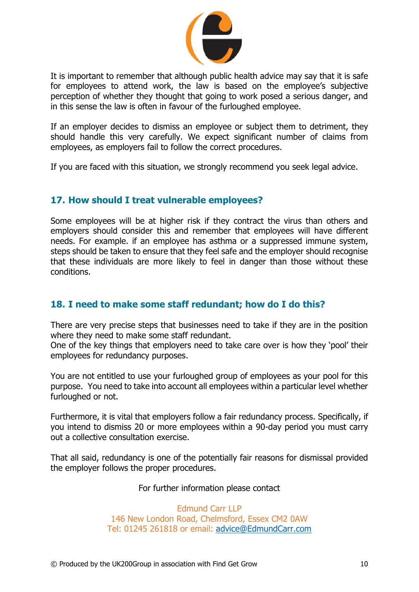

It is important to remember that although public health advice may say that it is safe for employees to attend work, the law is based on the employee's subjective perception of whether they thought that going to work posed a serious danger, and in this sense the law is often in favour of the furloughed employee.

If an employer decides to dismiss an employee or subject them to detriment, they should handle this very carefully. We expect significant number of claims from employees, as employers fail to follow the correct procedures.

If you are faced with this situation, we strongly recommend you seek legal advice.

#### <span id="page-9-0"></span>**17. How should I treat vulnerable employees?**

Some employees will be at higher risk if they contract the virus than others and employers should consider this and remember that employees will have different needs. For example. if an employee has asthma or a suppressed immune system, steps should be taken to ensure that they feel safe and the employer should recognise that these individuals are more likely to feel in danger than those without these conditions.

#### <span id="page-9-1"></span>**18. I need to make some staff redundant; how do I do this?**

There are very precise steps that businesses need to take if they are in the position where they need to make some staff redundant.

One of the key things that employers need to take care over is how they 'pool' their employees for redundancy purposes.

You are not entitled to use your furloughed group of employees as your pool for this purpose. You need to take into account all employees within a particular level whether furloughed or not.

Furthermore, it is vital that employers follow a fair redundancy process. Specifically, if you intend to dismiss 20 or more employees within a 90-day period you must carry out a collective consultation exercise.

That all said, redundancy is one of the potentially fair reasons for dismissal provided the employer follows the proper procedures.

#### For further information please contact

Edmund Carr LLP 146 New London Road, Chelmsford, Essex CM2 0AW Tel: 01245 261818 or email: [advice@EdmundCarr.com](mailto:advice@EdmundCarr.com)